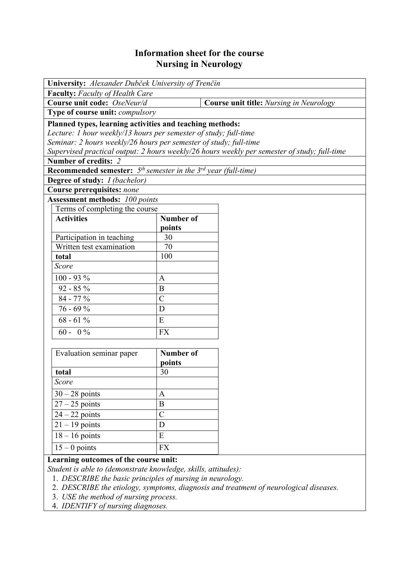# **Information sheet for the course Nursing in Neurology**

| University: Alexander Dubček University of Trenčín                        |                    |                                                                                              |  |  |
|---------------------------------------------------------------------------|--------------------|----------------------------------------------------------------------------------------------|--|--|
| <b>Faculty:</b> Faculty of Health Care                                    |                    |                                                                                              |  |  |
| Course unit code: OseNeur/d                                               |                    | <b>Course unit title:</b> Nursing in Neurology                                               |  |  |
| Type of course unit: <i>compulsory</i>                                    |                    |                                                                                              |  |  |
| Planned types, learning activities and teaching methods:                  |                    |                                                                                              |  |  |
| Lecture: 1 hour weekly/13 hours per semester of study; full-time          |                    |                                                                                              |  |  |
| Seminar: 2 hours weekly/26 hours per semester of study; full-time         |                    |                                                                                              |  |  |
|                                                                           |                    | Supervised practical output: 2 hours weekly/26 hours weekly per semester of study; full-time |  |  |
| Number of credits: 2                                                      |                    |                                                                                              |  |  |
| <b>Recommended semester:</b> $5th$ semester in the $3rd$ year (full-time) |                    |                                                                                              |  |  |
| <b>Degree of study:</b> <i>I (bachelor)</i>                               |                    |                                                                                              |  |  |
| <b>Course prerequisites: none</b>                                         |                    |                                                                                              |  |  |
| <b>Assessment methods:</b> 100 points                                     |                    |                                                                                              |  |  |
| Terms of completing the course                                            |                    |                                                                                              |  |  |
| <b>Activities</b>                                                         | <b>Number of</b>   |                                                                                              |  |  |
|                                                                           | points             |                                                                                              |  |  |
| Participation in teaching                                                 | 30                 |                                                                                              |  |  |
| Written test examination                                                  | 70                 |                                                                                              |  |  |
| total                                                                     | 100                |                                                                                              |  |  |
| Score                                                                     |                    |                                                                                              |  |  |
| $100 - 93 %$                                                              | $\mathbf{A}$       |                                                                                              |  |  |
| $92 - 85 \%$                                                              | $\bf{B}$           |                                                                                              |  |  |
| $84 - 77\%$                                                               | $\overline{C}$     |                                                                                              |  |  |
| $76 - 69%$                                                                | D                  |                                                                                              |  |  |
| $68 - 61\%$                                                               | E                  |                                                                                              |  |  |
| $60 - 0\%$                                                                | <b>FX</b>          |                                                                                              |  |  |
|                                                                           |                    |                                                                                              |  |  |
| Evaluation seminar paper                                                  | Number of          |                                                                                              |  |  |
| total                                                                     | points<br>30       |                                                                                              |  |  |
| Score                                                                     |                    |                                                                                              |  |  |
| $30 - 28$ points                                                          | $\mathbf{A}$       |                                                                                              |  |  |
|                                                                           | $\boldsymbol{B}$   |                                                                                              |  |  |
| $27 - 25$ points                                                          |                    |                                                                                              |  |  |
| $\overline{24} - 22$ points<br>$21 - 19$ points                           | $\mathcal{C}$<br>D |                                                                                              |  |  |
|                                                                           | E                  |                                                                                              |  |  |
| $18 - 16$ points                                                          |                    |                                                                                              |  |  |
| $15 - 0$ points                                                           | <b>FX</b>          |                                                                                              |  |  |

#### **Learning outcomes of the course unit:**

*Student is able to (demonstrate knowledge, skills, attitudes):* 

1. *DESCRIBE the basic principles of nursing in neurology.* 

- 2. *DESCRIBE the etiology, symptoms, diagnosis and treatment of neurological diseases.*
- 3. *USE the method of nursing process.*
- 4. *IDENTIFY of nursing diagnoses.*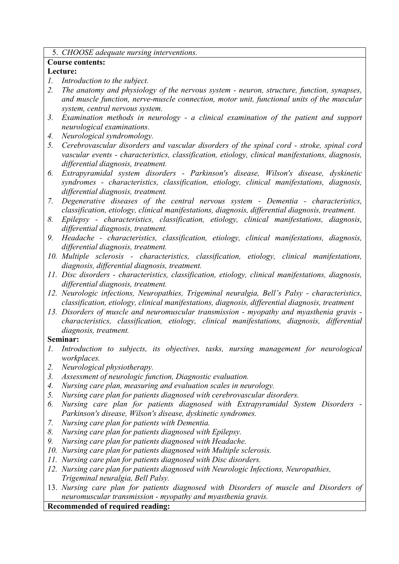#### 5. *CHOOSE adequate nursing interventions.*

#### **Course contents:**

### **Lecture:**

- *1. Introduction to the subject.*
- *2. The anatomy and physiology of the nervous system neuron, structure, function, synapses, and muscle function, nerve-muscle connection, motor unit, functional units of the muscular system, central nervous system.*
- *3. Examination methods in neurology a clinical examination of the patient and support neurological examinations.*
- *4. Neurological syndromology.*
- *5. Cerebrovascular disorders and vascular disorders of the spinal cord stroke, spinal cord vascular events - characteristics, classification, etiology, clinical manifestations, diagnosis, differential diagnosis, treatment.*
- *6. Extrapyramidal system disorders Parkinson's disease, Wilson's disease, dyskinetic syndromes - characteristics, classification, etiology, clinical manifestations, diagnosis, differential diagnosis, treatment.*
- *7. Degenerative diseases of the central nervous system Dementia characteristics, classification, etiology, clinical manifestations, diagnosis, differential diagnosis, treatment.*
- *8. Epilepsy characteristics, classification, etiology, clinical manifestations, diagnosis, differential diagnosis, treatment.*
- *9. Headache characteristics, classification, etiology, clinical manifestations, diagnosis, differential diagnosis, treatment.*
- *10. Multiple sclerosis characteristics, classification, etiology, clinical manifestations, diagnosis, differential diagnosis, treatment.*
- *11. Disc disorders characteristics, classification, etiology, clinical manifestations, diagnosis, differential diagnosis, treatment.*
- *12. Neurologic infections, Neuropathies, Trigeminal neuralgia, Bell's Palsy characteristics, classification, etiology, clinical manifestations, diagnosis, differential diagnosis, treatment*
- *13. Disorders of muscle and neuromuscular transmission myopathy and myasthenia gravis characteristics, classification, etiology, clinical manifestations, diagnosis, differential diagnosis, treatment.*

## **Seminar:**

- *1. Introduction to subjects, its objectives, tasks, nursing management for neurological workplaces.*
- *2. Neurological physiotherapy.*
- *3. Assessment of neurologic function, Diagnostic evaluation.*
- *4. Nursing care plan, measuring and evaluation scales in neurology.*
- *5. Nursing care plan for patients diagnosed with cerebrovascular disorders.*
- *6. Nursing care plan for patients diagnosed with Extrapyramidal System Disorders Parkinson's disease, Wilson's disease, dyskinetic syndromes.*
- *7. Nursing care plan for patients with Dementia.*
- *8. Nursing care plan for patients diagnosed with Epilepsy.*
- *9. Nursing care plan for patients diagnosed with Headache.*
- *10. Nursing care plan for patients diagnosed with Multiple sclerosis.*
- *11. Nursing care plan for patients diagnosed with Disc disorders.*
- *12. Nursing care plan for patients diagnosed with Neurologic Infections, Neuropathies, Trigeminal neuralgia, Bell Palsy.*
- 13. *Nursing care plan for patients diagnosed with Disorders of muscle and Disorders of neuromuscular transmission - myopathy and myasthenia gravis.*

**Recommended of required reading:**